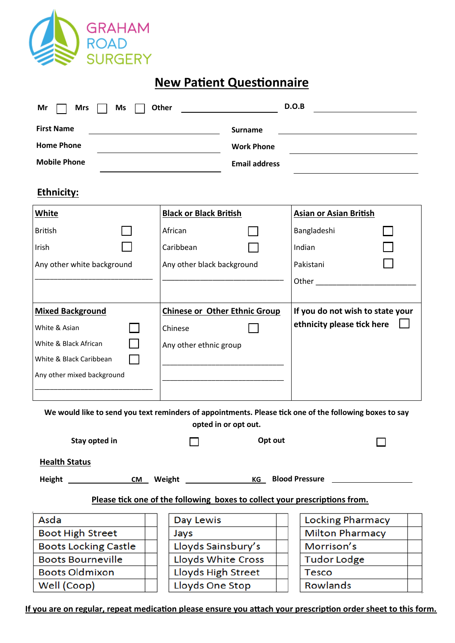

## **New Patient Questionnaire**

| <b>First Name</b><br><b>Home Phone</b><br><b>Mobile Phone</b><br><b>Ethnicity:</b>                                                                              | <b>Surname</b><br><b>Work Phone</b><br><b>Email address</b>                         |                                      |                                                                                             |  |  |  |
|-----------------------------------------------------------------------------------------------------------------------------------------------------------------|-------------------------------------------------------------------------------------|--------------------------------------|---------------------------------------------------------------------------------------------|--|--|--|
| <b>White</b><br><b>British</b><br>Irish<br>Any other white background                                                                                           | <b>Black or Black British</b><br>African<br>Caribbean<br>Any other black background |                                      | <b>Asian or Asian British</b><br>Bangladeshi<br>Indian<br>Pakistani<br><b>Other Company</b> |  |  |  |
| <b>Mixed Background</b><br>White & Asian<br>Chinese<br>White & Black African<br>Any other ethnic group<br>White & Black Caribbean<br>Any other mixed background |                                                                                     | <b>Chinese or Other Ethnic Group</b> | If you do not wish to state your<br>ethnicity please tick here                              |  |  |  |

| Stay opted in                                                                            |  | Opt out                   |  |                         |  |  |
|------------------------------------------------------------------------------------------|--|---------------------------|--|-------------------------|--|--|
| <b>Health Status</b>                                                                     |  |                           |  |                         |  |  |
| <b>KG</b> Blood Pressure<br><b>Weight State State State State</b><br>Height<br><b>CM</b> |  |                           |  |                         |  |  |
| Please tick one of the following boxes to collect your prescriptions from.               |  |                           |  |                         |  |  |
| Asda                                                                                     |  | Day Lewis                 |  | <b>Locking Pharmacy</b> |  |  |
| <b>Boot High Street</b>                                                                  |  | Jays                      |  | <b>Milton Pharmacy</b>  |  |  |
| <b>Boots Locking Castle</b>                                                              |  | Lloyds Sainsbury's        |  | Morrison's              |  |  |
| <b>Boots Bourneville</b>                                                                 |  | <b>Lloyds White Cross</b> |  | <b>Tudor Lodge</b>      |  |  |
| <b>Boots Oldmixon</b>                                                                    |  | Lloyds High Street        |  | <b>Tesco</b>            |  |  |
| Well (Coop)                                                                              |  | Lloyds One Stop           |  | Rowlands                |  |  |

**If you are on regular, repeat medication please ensure you attach your prescription order sheet to this form.**